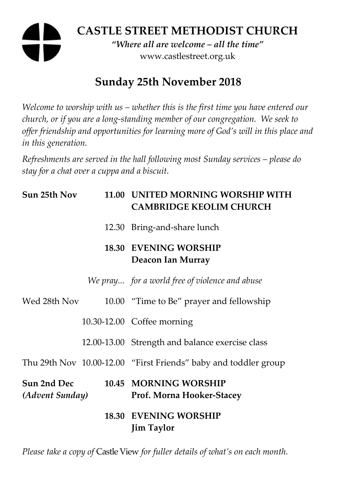# **CASTLE STREET METHODIST CHURCH**

*"Where all are welcome – all the time"*  www.castlestreet.org.uk

## **Sunday 25th November 2018**

*Welcome to worship with us – whether this is the first time you have entered our church, or if you are a long-standing member of our congregation. We seek to offer friendship and opportunities for learning more of God's will in this place and in this generation.* 

*Refreshments are served in the hall following most Sunday services – please do stay for a chat over a cuppa and a biscuit.* 

| Sun 25th Nov                   |  | 11.00 UNITED MORNING WORSHIP WITH<br><b>CAMBRIDGE KEOLIM CHURCH</b> |
|--------------------------------|--|---------------------------------------------------------------------|
|                                |  | 12.30 Bring-and-share lunch                                         |
|                                |  | <b>18.30 EVENING WORSHIP</b><br>Deacon Ian Murray                   |
|                                |  | We pray for a world free of violence and abuse                      |
| Wed 28th Nov                   |  | 10.00 "Time to Be" prayer and fellowship                            |
|                                |  | 10.30-12.00 Coffee morning                                          |
|                                |  | 12.00-13.00 Strength and balance exercise class                     |
|                                |  | Thu 29th Nov 10.00-12.00 "First Friends" baby and toddler group     |
| Sun 2nd Dec<br>(Advent Sunday) |  | 10.45 MORNING WORSHIP<br>Prof. Morna Hooker-Stacey                  |
|                                |  | <b>18.30 EVENING WORSHIP</b><br><b>Jim Taylor</b>                   |

*Please take a copy of* Castle View *for fuller details of what's on each month.*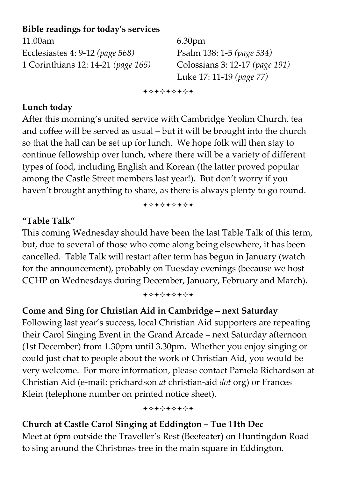## **Bible readings for today's services**

11.00am 6.30pm Ecclesiastes 4: 9-12 *(page 568)* Psalm 138: 1-5 *(page 534)* 1 Corinthians 12: 14-21 *(page 165)* Colossians 3: 12-17 *(page 191)* 

Luke 17: 11-19 *(page 77)* 

+\*\*\*\*\*\*\*

#### **Lunch today**

After this morning's united service with Cambridge Yeolim Church, tea and coffee will be served as usual – but it will be brought into the church so that the hall can be set up for lunch. We hope folk will then stay to continue fellowship over lunch, where there will be a variety of different types of food, including English and Korean (the latter proved popular among the Castle Street members last year!). But don't worry if you haven't brought anything to share, as there is always plenty to go round.

+\*\*\*\*\*\*\*

### **"Table Talk"**

This coming Wednesday should have been the last Table Talk of this term, but, due to several of those who come along being elsewhere, it has been cancelled. Table Talk will restart after term has begun in January (watch for the announcement), probably on Tuesday evenings (because we host CCHP on Wednesdays during December, January, February and March).

+\*+\*\*\*\*\*

## **Come and Sing for Christian Aid in Cambridge – next Saturday**

Following last year's success, local Christian Aid supporters are repeating their Carol Singing Event in the Grand Arcade – next Saturday afternoon (1st December) from 1.30pm until 3.30pm. Whether you enjoy singing or could just chat to people about the work of Christian Aid, you would be very welcome. For more information, please contact Pamela Richardson at Christian Aid (e-mail: prichardson *at* christian-aid *dot* org) or Frances Klein (telephone number on printed notice sheet).

+\*\*\*\*\*\*\*

### **Church at Castle Carol Singing at Eddington – Tue 11th Dec**

Meet at 6pm outside the Traveller's Rest (Beefeater) on Huntingdon Road to sing around the Christmas tree in the main square in Eddington.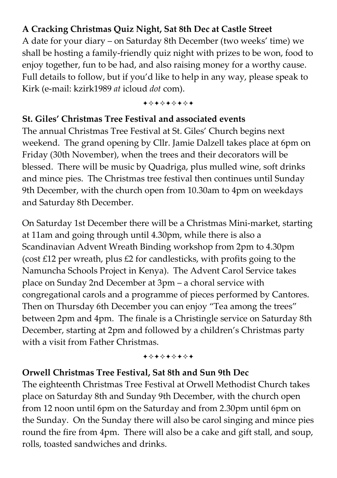## **A Cracking Christmas Quiz Night, Sat 8th Dec at Castle Street**

A date for your diary – on Saturday 8th December (two weeks' time) we shall be hosting a family-friendly quiz night with prizes to be won, food to enjoy together, fun to be had, and also raising money for a worthy cause. Full details to follow, but if you'd like to help in any way, please speak to Kirk (e-mail: kzirk1989 *at* icloud *dot* com).

+\*\*\*\*\*\*\*

#### **St. Giles' Christmas Tree Festival and associated events**

The annual Christmas Tree Festival at St. Giles' Church begins next weekend. The grand opening by Cllr. Jamie Dalzell takes place at 6pm on Friday (30th November), when the trees and their decorators will be blessed. There will be music by Quadriga, plus mulled wine, soft drinks and mince pies. The Christmas tree festival then continues until Sunday 9th December, with the church open from 10.30am to 4pm on weekdays and Saturday 8th December.

On Saturday 1st December there will be a Christmas Mini-market, starting at 11am and going through until 4.30pm, while there is also a Scandinavian Advent Wreath Binding workshop from 2pm to 4.30pm (cost £12 per wreath, plus £2 for candlesticks, with profits going to the Namuncha Schools Project in Kenya). The Advent Carol Service takes place on Sunday 2nd December at 3pm – a choral service with congregational carols and a programme of pieces performed by Cantores. Then on Thursday 6th December you can enjoy "Tea among the trees" between 2pm and 4pm. The finale is a Christingle service on Saturday 8th December, starting at 2pm and followed by a children's Christmas party with a visit from Father Christmas.

+\*+\*\*\*\*\*

#### **Orwell Christmas Tree Festival, Sat 8th and Sun 9th Dec**

The eighteenth Christmas Tree Festival at Orwell Methodist Church takes place on Saturday 8th and Sunday 9th December, with the church open from 12 noon until 6pm on the Saturday and from 2.30pm until 6pm on the Sunday. On the Sunday there will also be carol singing and mince pies round the fire from 4pm. There will also be a cake and gift stall, and soup, rolls, toasted sandwiches and drinks.